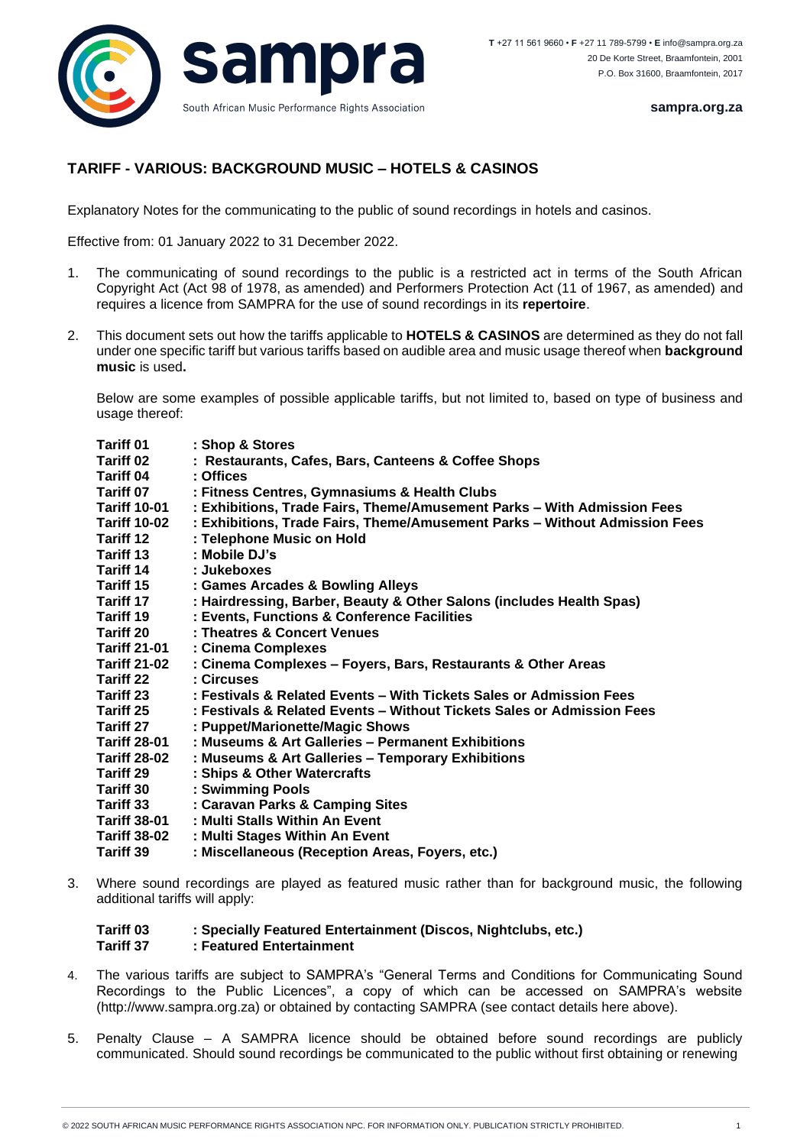

**sampra.org.za**

## **TARIFF - VARIOUS: BACKGROUND MUSIC – HOTELS & CASINOS**

Explanatory Notes for the communicating to the public of sound recordings in hotels and casinos.

Effective from: 01 January 2022 to 31 December 2022.

- 1. The communicating of sound recordings to the public is a restricted act in terms of the South African Copyright Act (Act 98 of 1978, as amended) and Performers Protection Act (11 of 1967, as amended) and requires a licence from SAMPRA for the use of sound recordings in its **repertoire**.
- 2. This document sets out how the tariffs applicable to **HOTELS & CASINOS** are determined as they do not fall under one specific tariff but various tariffs based on audible area and music usage thereof when **background music** is used**.**

Below are some examples of possible applicable tariffs, but not limited to, based on type of business and usage thereof:

| <b>Tariff 01</b>    | : Shop & Stores                                                            |
|---------------------|----------------------------------------------------------------------------|
| <b>Tariff 02</b>    | : Restaurants, Cafes, Bars, Canteens & Coffee Shops                        |
| <b>Tariff 04</b>    | : Offices                                                                  |
| <b>Tariff 07</b>    | : Fitness Centres, Gymnasiums & Health Clubs                               |
| <b>Tariff 10-01</b> | : Exhibitions, Trade Fairs, Theme/Amusement Parks - With Admission Fees    |
| <b>Tariff 10-02</b> | : Exhibitions, Trade Fairs, Theme/Amusement Parks - Without Admission Fees |
| <b>Tariff 12</b>    | : Telephone Music on Hold                                                  |
| Tariff 13           | : Mobile DJ's                                                              |
| <b>Tariff 14</b>    | : Jukeboxes                                                                |
| Tariff 15           | : Games Arcades & Bowling Alleys                                           |
| Tariff 17           | : Hairdressing, Barber, Beauty & Other Salons (includes Health Spas)       |
| Tariff 19           | : Events, Functions & Conference Facilities                                |
| <b>Tariff 20</b>    | : Theatres & Concert Venues                                                |
| <b>Tariff 21-01</b> | : Cinema Complexes                                                         |
| <b>Tariff 21-02</b> | : Cinema Complexes - Foyers, Bars, Restaurants & Other Areas               |
| <b>Tariff 22</b>    | : Circuses                                                                 |
| Tariff 23           | : Festivals & Related Events – With Tickets Sales or Admission Fees        |
| Tariff 25           | : Festivals & Related Events – Without Tickets Sales or Admission Fees     |
| <b>Tariff 27</b>    | : Puppet/Marionette/Magic Shows                                            |
| <b>Tariff 28-01</b> | : Museums & Art Galleries - Permanent Exhibitions                          |
| <b>Tariff 28-02</b> | : Museums & Art Galleries - Temporary Exhibitions                          |
| <b>Tariff 29</b>    | : Ships & Other Watercrafts                                                |
| <b>Tariff 30</b>    | : Swimming Pools                                                           |
| Tariff 33           | : Caravan Parks & Camping Sites                                            |
| <b>Tariff 38-01</b> | : Multi Stalls Within An Event                                             |
| <b>Tariff 38-02</b> | : Multi Stages Within An Event                                             |
| <b>Tariff 39</b>    | : Miscellaneous (Reception Areas, Foyers, etc.)                            |

3. Where sound recordings are played as featured music rather than for background music, the following additional tariffs will apply:

## **Tariff 03 : Specially Featured Entertainment (Discos, Nightclubs, etc.) Tariff 37 : Featured Entertainment**

- 4. The various tariffs are subject to SAMPRA's "General Terms and Conditions for Communicating Sound Recordings to the Public Licences", a copy of which can be accessed on SAMPRA's website (http://www.sampra.org.za) or obtained by contacting SAMPRA (see contact details here above).
- 5. Penalty Clause A SAMPRA licence should be obtained before sound recordings are publicly communicated. Should sound recordings be communicated to the public without first obtaining or renewing